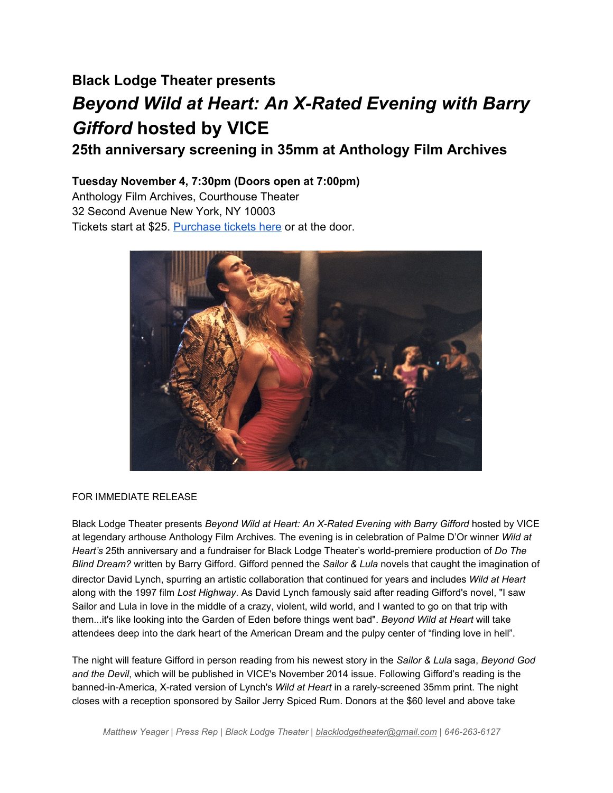## **Black Lodge Theater presents Beyond Wild at Heart: An X-Rated Evening with Barry** *Gifford* **hosted by VICE**

**25th anniversary screening in 35mm at Anthology Film Archives**

## **Tuesday November 4, 7:30pm (Doors open at 7:00pm)**

Anthology Film Archives, Courthouse Theater 32 Second Avenue New York, NY 10003 Tickets start at \$25. [Purchase](https://www.google.com/url?q=https%3A%2F%2Fwww.artful.ly%2Fstore%2Fevents%2F4161&sa=D&sntz=1&usg=AFQjCNFreoydBXpudyzrcc2ucWUb48ObJg) tickets here or at the door.



## FOR IMMEDIATE RELEASE

Black Lodge Theater presents *Beyond Wild at Heart: An X-Rated Evening with Barry Gifford hosted by VICE* at legendary arthouse Anthology Film Archives*.* The evening is in celebration of Palme D'Or winner *Wild at Heart's* 25th anniversary and a fundraiser for Black Lodge Theater's world-premiere production of *Do The Blind Dream?* written by Barry Gifford. Gifford penned the *Sailor & Lula* novels that caught the imagination of director David Lynch, spurring an artistic collaboration that continued for years and includes *Wild at Heart* along with the 1997 film *Lost Highway*. As David Lynch famously said after reading Gifford's novel, "I saw Sailor and Lula in love in the middle of a crazy, violent, wild world, and I wanted to go on that trip with them...it's like looking into the Garden of Eden before things went bad". *Beyond Wild at Heart* will take attendees deep into the dark heart of the American Dream and the pulpy center of "finding love in hell".

The night will feature Gifford in person reading from his newest story in the *Sailor & Lula* saga, *Beyond God and the Devil*, which will be published in VICE's November 2014 issue. Following Gifford's reading is the banned-in-America, X-rated version of Lynch's *Wild at Heart* in a rarely-screened 35mm print. The night closes with a reception sponsored by Sailor Jerry Spiced Rum. Donors at the \$60 level and above take